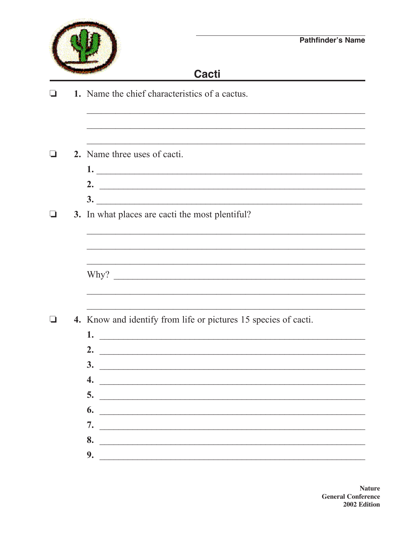

## **Cacti**

1. Name the chief characteristics of a cactus.  $\Box$ 

 $\Box$ 2. Name three uses of cacti.

> $1.$   $\overline{\phantom{a}}$ 2.  $\overline{\phantom{a}}$  $\frac{3}{2}$

3. In what places are cacti the most plentiful?  $\Box$ 

<u> 1999 - Johann John Harry Marie Maria (j. 1989)</u>

4. Know and identify from life or pictures 15 species of cacti.  $\Box$ 

| 1.                                                                                                                                                                                                                                                                                                                                                                                                                 |
|--------------------------------------------------------------------------------------------------------------------------------------------------------------------------------------------------------------------------------------------------------------------------------------------------------------------------------------------------------------------------------------------------------------------|
| 2. $\qquad \qquad$                                                                                                                                                                                                                                                                                                                                                                                                 |
| $\frac{3.}{\sqrt{1-\frac{3}{2}}}\frac{3.}{\sqrt{1-\frac{3}{2}}}\frac{3.}{\sqrt{1-\frac{3}{2}}}\frac{3.}{\sqrt{1-\frac{3}{2}}}\frac{3.}{\sqrt{1-\frac{3}{2}}}\frac{3.}{\sqrt{1-\frac{3}{2}}}\frac{3.}{\sqrt{1-\frac{3}{2}}}\frac{3.}{\sqrt{1-\frac{3}{2}}}\frac{3.}{\sqrt{1-\frac{3}{2}}}\frac{3.}{\sqrt{1-\frac{3}{2}}}\frac{3.}{\sqrt{1-\frac{3}{2}}}\frac{3.}{\sqrt{1-\frac{3}{2}}}\frac{3.}{\sqrt{1-\frac{3}{2$ |
| 4. $\qquad \qquad$                                                                                                                                                                                                                                                                                                                                                                                                 |
| 5.                                                                                                                                                                                                                                                                                                                                                                                                                 |
| $\begin{array}{c}\n\bullet \\ \bullet \\ \end{array}$                                                                                                                                                                                                                                                                                                                                                              |
| 7.                                                                                                                                                                                                                                                                                                                                                                                                                 |
| 8.                                                                                                                                                                                                                                                                                                                                                                                                                 |
| 9.                                                                                                                                                                                                                                                                                                                                                                                                                 |
|                                                                                                                                                                                                                                                                                                                                                                                                                    |

**Nature General Conference** 2002 Edition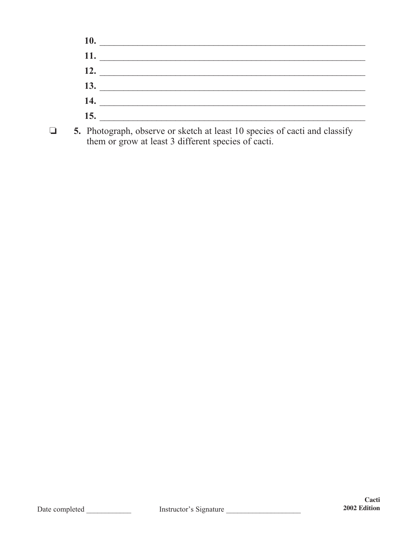|                                             | 11. |  |  |
|---------------------------------------------|-----|--|--|
| <b>12.</b> The same of $\overline{a}$       |     |  |  |
| <b>13.</b> The same state of $\overline{a}$ |     |  |  |
| 14. $\qquad$                                |     |  |  |
| <b>15.</b> The same state of $\overline{a}$ |     |  |  |

 $\Box$  5. Photograph, observe or sketch at least 10 species of cacti and classify them or grow at least 3 different species of cacti.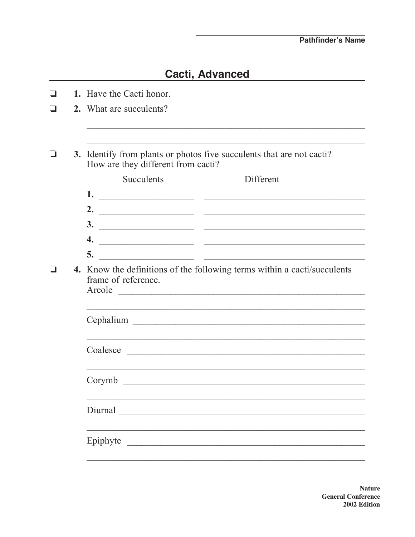## **Cacti, Advanced**

| $\Box$ | 1. Have the Cacti honor.                                                                                                        |                                                                                                                      |  |  |  |  |  |
|--------|---------------------------------------------------------------------------------------------------------------------------------|----------------------------------------------------------------------------------------------------------------------|--|--|--|--|--|
| - I    | 2. What are succulents?                                                                                                         |                                                                                                                      |  |  |  |  |  |
|        |                                                                                                                                 |                                                                                                                      |  |  |  |  |  |
| - 1    | 3. Identify from plants or photos five succulents that are not cacti?<br>How are they different from cacti?                     |                                                                                                                      |  |  |  |  |  |
|        | <b>Succulents</b>                                                                                                               | Different                                                                                                            |  |  |  |  |  |
|        |                                                                                                                                 |                                                                                                                      |  |  |  |  |  |
|        |                                                                                                                                 |                                                                                                                      |  |  |  |  |  |
|        |                                                                                                                                 |                                                                                                                      |  |  |  |  |  |
|        | 4.                                                                                                                              |                                                                                                                      |  |  |  |  |  |
|        | 5.<br><u> 2000 - Jan James James Jan James James James James James James James James James James James James James James Ja</u> |                                                                                                                      |  |  |  |  |  |
|        | 4. Know the definitions of the following terms within a cacti/succulents<br>frame of reference.                                 |                                                                                                                      |  |  |  |  |  |
|        |                                                                                                                                 | <u> 1999 - Johann John Harry Harry Harry Harry Harry Harry Harry Harry Harry Harry Harry Harry Harry Harry Harry</u> |  |  |  |  |  |
|        |                                                                                                                                 |                                                                                                                      |  |  |  |  |  |
|        |                                                                                                                                 |                                                                                                                      |  |  |  |  |  |
|        |                                                                                                                                 |                                                                                                                      |  |  |  |  |  |
|        |                                                                                                                                 |                                                                                                                      |  |  |  |  |  |
|        | Corymb                                                                                                                          |                                                                                                                      |  |  |  |  |  |
|        |                                                                                                                                 |                                                                                                                      |  |  |  |  |  |
|        | Diurnal                                                                                                                         |                                                                                                                      |  |  |  |  |  |
|        | Epiphyte                                                                                                                        |                                                                                                                      |  |  |  |  |  |
|        |                                                                                                                                 |                                                                                                                      |  |  |  |  |  |

**Nature General Conference** 2002 Edition